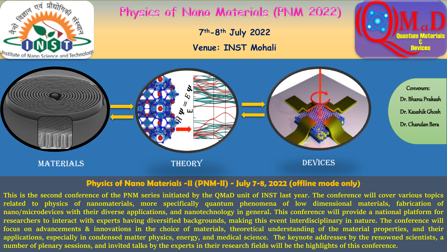

## Physics of Nano Materials (PNM 2022)

**7th-8th July 2022** 

**Venue: INST Mohali**



## **Physics of Nano Materials -II (PNM-II) - July 7-8, 2022 (offline mode only)**

This is the second conference of the PNM series initiated by the QMaD unit of INST last year. The conference will cover various topics **related to physics of nanomaterials, more specifically quantum phenomena of low dimensional materials, fabrication of** nano/microdevices with their diverse applications, and nanotechnology in general. This conference will provide a national platform for researchers to interact with experts having diversified backgrounds, making this event interdisciplinary in nature. The conference will focus on advancements & innovations in the choice of materials, theoretical understanding of the material properties, and their applications, especially in condensed matter physics, energy, and medical science. The keynote addresses by the renowned scientists, a number of plenary sessions, and invited talks by the experts in their research fields will be the highlights of this conference.